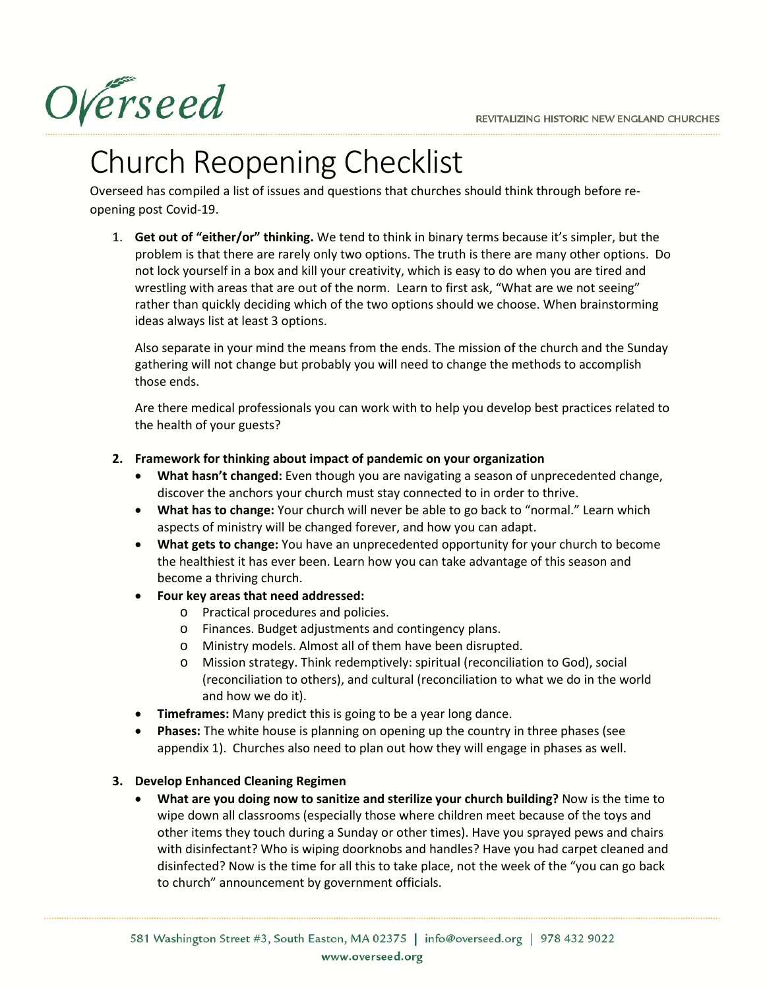Overseed

# Church Reopening Checklist

Overseed has compiled a list of issues and questions that churches should think through before reopening post Covid-19.

1. **Get out of "either/or" thinking.** We tend to think in binary terms because it's simpler, but the problem is that there are rarely only two options. The truth is there are many other options. Do not lock yourself in a box and kill your creativity, which is easy to do when you are tired and wrestling with areas that are out of the norm. Learn to first ask, "What are we not seeing" rather than quickly deciding which of the two options should we choose. When brainstorming ideas always list at least 3 options.

Also separate in your mind the means from the ends. The mission of the church and the Sunday gathering will not change but probably you will need to change the methods to accomplish those ends.

Are there medical professionals you can work with to help you develop best practices related to the health of your guests?

#### **2. Framework for thinking about impact of pandemic on your organization**

- **What hasn't changed:** Even though you are navigating a season of unprecedented change, discover the anchors your church must stay connected to in order to thrive.
- **What has to change:** Your church will never be able to go back to "normal." Learn which aspects of ministry will be changed forever, and how you can adapt.
- **What gets to change:** You have an unprecedented opportunity for your church to become the healthiest it has ever been. Learn how you can take advantage of this season and become a thriving church.
- **Four key areas that need addressed:**
	- o Practical procedures and policies.
	- o Finances. Budget adjustments and contingency plans.
	- o Ministry models. Almost all of them have been disrupted.
	- o Mission strategy. Think redemptively: spiritual (reconciliation to God), social (reconciliation to others), and cultural (reconciliation to what we do in the world and how we do it).
- **Timeframes:** Many predict this is going to be a year long dance.
- **Phases:** The white house is planning on opening up the country in three phases (see appendix 1). Churches also need to plan out how they will engage in phases as well.

#### **3. Develop Enhanced Cleaning Regimen**

• **What are you doing now to sanitize and sterilize your church building?** Now is the time to wipe down all classrooms (especially those where children meet because of the toys and other items they touch during a Sunday or other times). Have you sprayed pews and chairs with disinfectant? Who is wiping doorknobs and handles? Have you had carpet cleaned and disinfected? Now is the time for all this to take place, not the week of the "you can go back to church" announcement by government officials.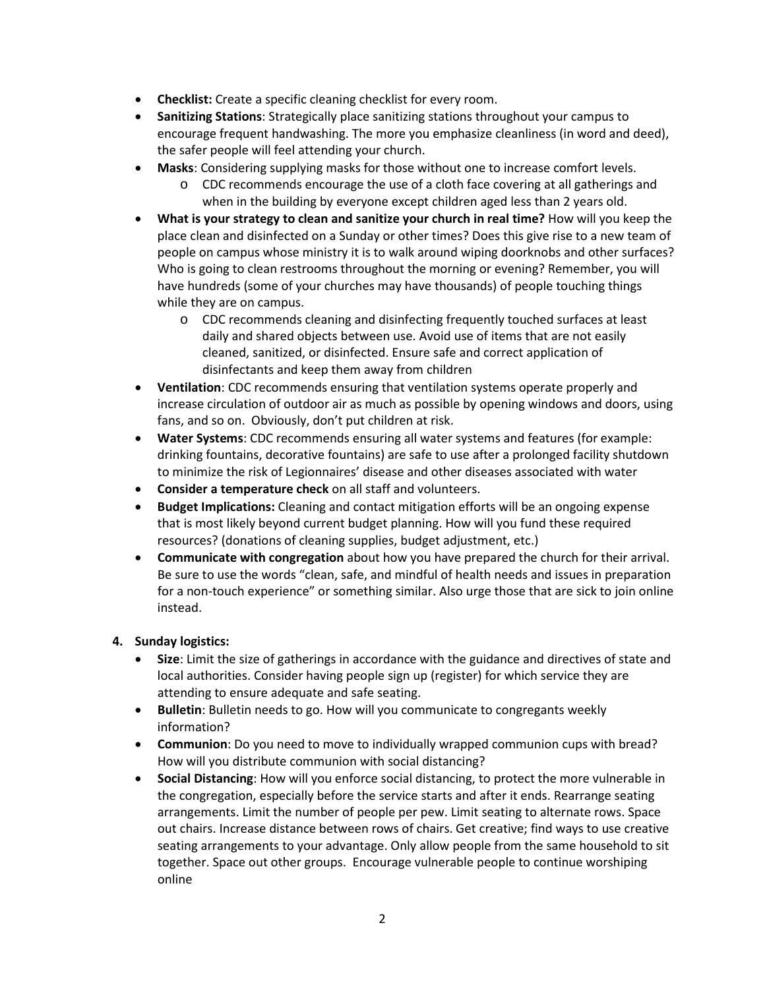- **Checklist:** Create a specific cleaning checklist for every room.
- **Sanitizing Stations**: Strategically place sanitizing stations throughout your campus to encourage frequent handwashing. The more you emphasize cleanliness (in word and deed), the safer people will feel attending your church.
- **Masks**: Considering supplying masks for those without one to increase comfort levels.
	- o CDC recommends encourage the use of a cloth face covering at all gatherings and when in the building by everyone except children aged less than 2 years old.
- **What is your strategy to clean and sanitize your church in real time?** How will you keep the place clean and disinfected on a Sunday or other times? Does this give rise to a new team of people on campus whose ministry it is to walk around wiping doorknobs and other surfaces? Who is going to clean restrooms throughout the morning or evening? Remember, you will have hundreds (some of your churches may have thousands) of people touching things while they are on campus.
	- o CDC recommends cleaning and disinfecting frequently touched surfaces at least daily and shared objects between use. Avoid use of items that are not easily cleaned, sanitized, or disinfected. Ensure safe and correct application of disinfectants and keep them away from children
- **Ventilation**: CDC recommends ensuring that ventilation systems operate properly and increase circulation of outdoor air as much as possible by opening windows and doors, using fans, and so on. Obviously, don't put children at risk.
- **Water Systems**: CDC recommends ensuring all water systems and features (for example: drinking fountains, decorative fountains) are safe to use after a prolonged facility shutdown to minimize the risk of Legionnaires' disease and other diseases associated with water
- **Consider a temperature check** on all staff and volunteers.
- **Budget Implications:** Cleaning and contact mitigation efforts will be an ongoing expense that is most likely beyond current budget planning. How will you fund these required resources? (donations of cleaning supplies, budget adjustment, etc.)
- **Communicate with congregation** about how you have prepared the church for their arrival. Be sure to use the words "clean, safe, and mindful of health needs and issues in preparation for a non-touch experience" or something similar. Also urge those that are sick to join online instead.

#### **4. Sunday logistics:**

- **Size**: Limit the size of gatherings in accordance with the guidance and directives of state and local authorities. Consider having people sign up (register) for which service they are attending to ensure adequate and safe seating.
- **Bulletin**: Bulletin needs to go. How will you communicate to congregants weekly information?
- **Communion**: Do you need to move to individually wrapped communion cups with bread? How will you distribute communion with social distancing?
- **Social Distancing**: How will you enforce social distancing, to protect the more vulnerable in the congregation, especially before the service starts and after it ends. Rearrange seating arrangements. Limit the number of people per pew. Limit seating to alternate rows. Space out chairs. Increase distance between rows of chairs. Get creative; find ways to use creative seating arrangements to your advantage. Only allow people from the same household to sit together. Space out other groups. Encourage vulnerable people to continue worshiping online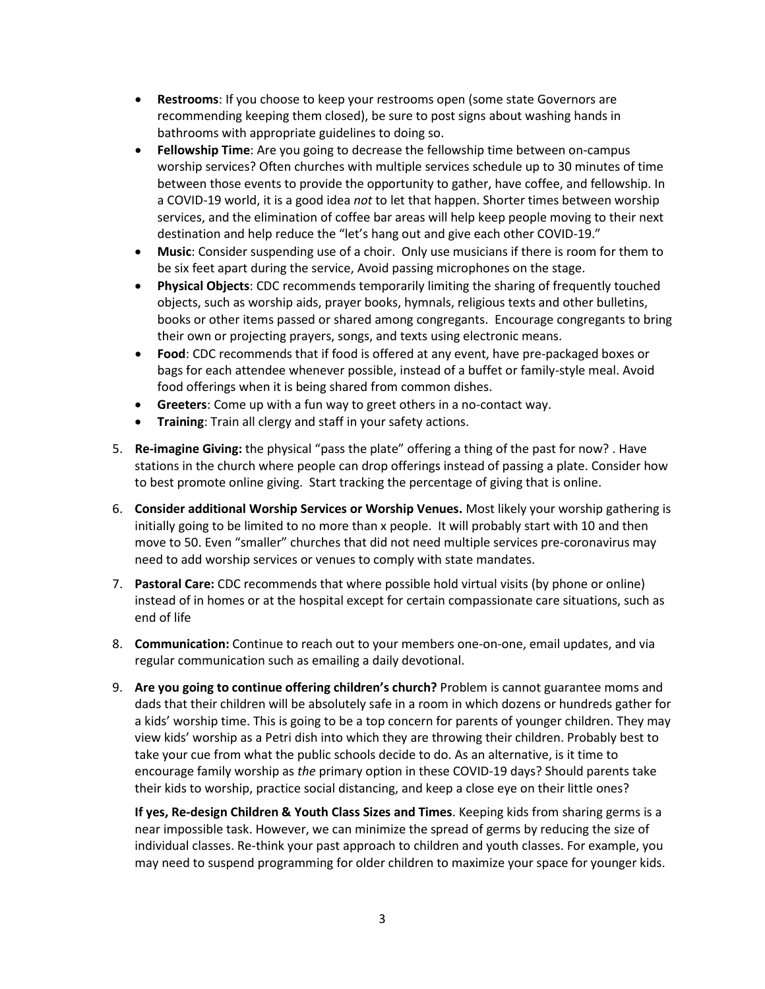- **Restrooms**: If you choose to keep your restrooms open (some state Governors are recommending keeping them closed), be sure to post signs about washing hands in bathrooms with appropriate guidelines to doing so.
- **Fellowship Time**: Are you going to decrease the fellowship time between on-campus worship services? Often churches with multiple services schedule up to 30 minutes of time between those events to provide the opportunity to gather, have coffee, and fellowship. In a COVID-19 world, it is a good idea *not* to let that happen. Shorter times between worship services, and the elimination of coffee bar areas will help keep people moving to their next destination and help reduce the "let's hang out and give each other COVID-19."
- **Music**: Consider suspending use of a choir. Only use musicians if there is room for them to be six feet apart during the service, Avoid passing microphones on the stage.
- **Physical Objects**: CDC recommends temporarily limiting the sharing of frequently touched objects, such as worship aids, prayer books, hymnals, religious texts and other bulletins, books or other items passed or shared among congregants. Encourage congregants to bring their own or projecting prayers, songs, and texts using electronic means.
- **Food**: CDC recommends that if food is offered at any event, have pre-packaged boxes or bags for each attendee whenever possible, instead of a buffet or family-style meal. Avoid food offerings when it is being shared from common dishes.
- **Greeters**: Come up with a fun way to greet others in a no-contact way.
- **Training**: Train all clergy and staff in your safety actions.
- 5. **Re-imagine Giving:** the physical "pass the plate" offering a thing of the past for now? . Have stations in the church where people can drop offerings instead of passing a plate. Consider how to best promote online giving. Start tracking the percentage of giving that is online.
- 6. **Consider additional Worship Services or Worship Venues.** Most likely your worship gathering is initially going to be limited to no more than x people. It will probably start with 10 and then move to 50. Even "smaller" churches that did not need multiple services pre-coronavirus may need to add worship services or venues to comply with state mandates.
- 7. **Pastoral Care:** CDC recommends that where possible hold virtual visits (by phone or online) instead of in homes or at the hospital except for certain compassionate care situations, such as end of life
- 8. **Communication:** Continue to reach out to your members one-on-one, email updates, and via regular communication such as emailing a daily devotional.
- 9. **Are you going to continue offering children's church?** Problem is cannot guarantee moms and dads that their children will be absolutely safe in a room in which dozens or hundreds gather for a kids' worship time. This is going to be a top concern for parents of younger children. They may view kids' worship as a Petri dish into which they are throwing their children. Probably best to take your cue from what the public schools decide to do. As an alternative, is it time to encourage family worship as *the* primary option in these COVID-19 days? Should parents take their kids to worship, practice social distancing, and keep a close eye on their little ones?

**If yes, Re-design Children & Youth Class Sizes and Times**. Keeping kids from sharing germs is a near impossible task. However, we can minimize the spread of germs by reducing the size of individual classes. Re-think your past approach to children and youth classes. For example, you may need to suspend programming for older children to maximize your space for younger kids.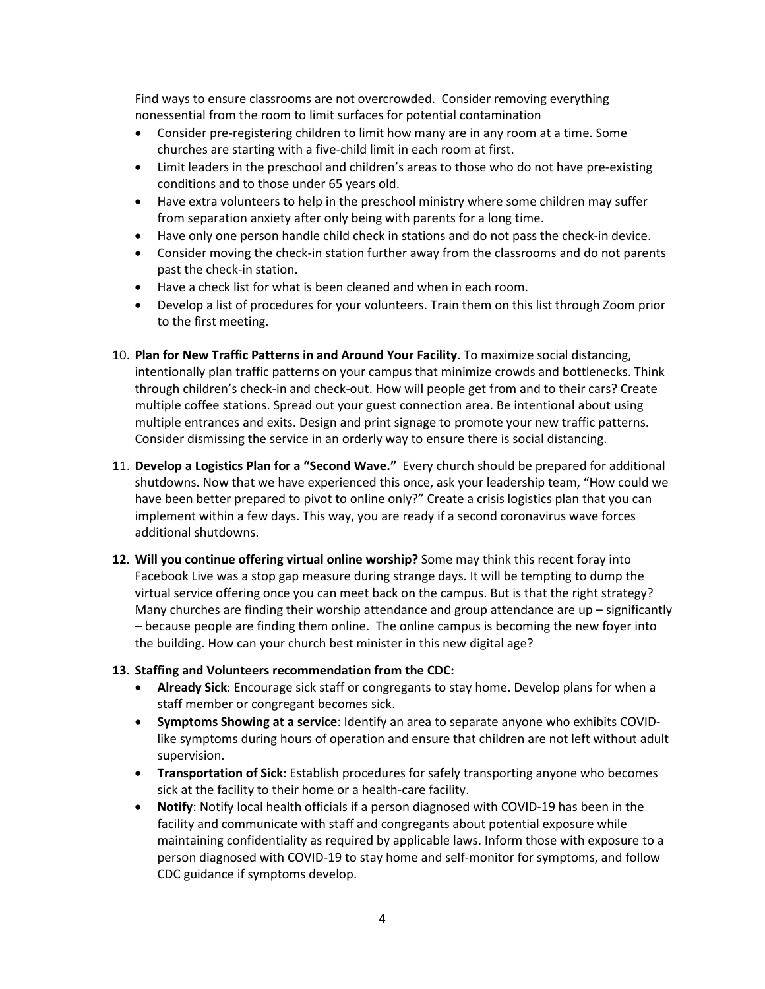Find ways to ensure classrooms are not overcrowded. Consider removing everything nonessential from the room to limit surfaces for potential contamination

- Consider pre-registering children to limit how many are in any room at a time. Some churches are starting with a five-child limit in each room at first.
- Limit leaders in the preschool and children's areas to those who do not have pre-existing conditions and to those under 65 years old.
- Have extra volunteers to help in the preschool ministry where some children may suffer from separation anxiety after only being with parents for a long time.
- Have only one person handle child check in stations and do not pass the check-in device.
- Consider moving the check-in station further away from the classrooms and do not parents past the check-in station.
- Have a check list for what is been cleaned and when in each room.
- Develop a list of procedures for your volunteers. Train them on this list through Zoom prior to the first meeting.
- 10. **Plan for New Traffic Patterns in and Around Your Facility**. To maximize social distancing, intentionally plan traffic patterns on your campus that minimize crowds and bottlenecks. Think through children's check-in and check-out. How will people get from and to their cars? Create multiple coffee stations. Spread out your guest connection area. Be intentional about using multiple entrances and exits. Design and print signage to promote your new traffic patterns. Consider dismissing the service in an orderly way to ensure there is social distancing.
- 11. **Develop a Logistics Plan for a "Second Wave."** Every church should be prepared for additional shutdowns. Now that we have experienced this once, ask your leadership team, "How could we have been better prepared to pivot to online only?" Create a crisis logistics plan that you can implement within a few days. This way, you are ready if a second coronavirus wave forces additional shutdowns.
- **12. Will you continue offering virtual online worship?** Some may think this recent foray into Facebook Live was a stop gap measure during strange days. It will be tempting to dump the virtual service offering once you can meet back on the campus. But is that the right strategy? Many churches are finding their worship attendance and group attendance are up – significantly – because people are finding them online. The online campus is becoming the new foyer into the building. How can your church best minister in this new digital age?

#### **13. Staffing and Volunteers recommendation from the CDC:**

- **Already Sick**: Encourage sick staff or congregants to stay home. Develop plans for when a staff member or congregant becomes sick.
- **Symptoms Showing at a service**: Identify an area to separate anyone who exhibits COVIDlike symptoms during hours of operation and ensure that children are not left without adult supervision.
- **Transportation of Sick**: Establish procedures for safely transporting anyone who becomes sick at the facility to their home or a health-care facility.
- **Notify**: Notify local health officials if a person diagnosed with COVID-19 has been in the facility and communicate with staff and congregants about potential exposure while maintaining confidentiality as required by applicable laws. Inform those with exposure to a person diagnosed with COVID-19 to stay home and self-monitor for symptoms, and follow CDC guidance if symptoms develop.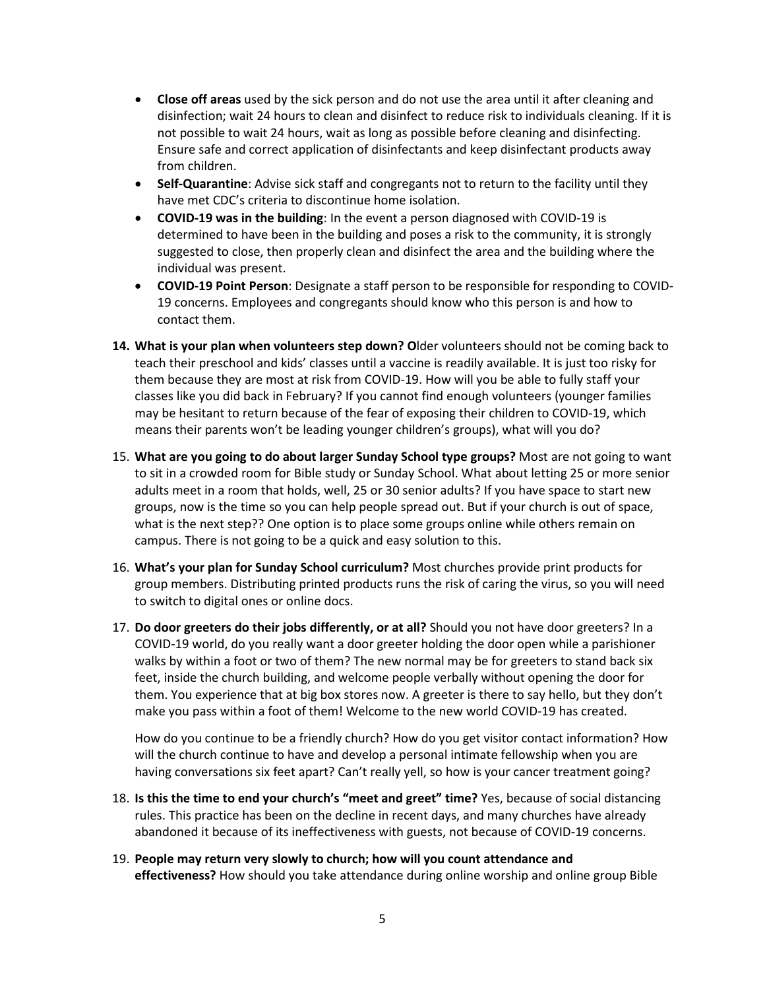- **Close off areas** used by the sick person and do not use the area until it after cleaning and disinfection; wait 24 hours to clean and disinfect to reduce risk to individuals cleaning. If it is not possible to wait 24 hours, wait as long as possible before cleaning and disinfecting. Ensure safe and correct application of disinfectants and keep disinfectant products away from children.
- **Self-Quarantine**: Advise sick staff and congregants not to return to the facility until they have met CDC's criteria to discontinue home isolation.
- **COVID-19 was in the building**: In the event a person diagnosed with COVID-19 is determined to have been in the building and poses a risk to the community, it is strongly suggested to close, then properly clean and disinfect the area and the building where the individual was present.
- **COVID-19 Point Person**: Designate a staff person to be responsible for responding to COVID-19 concerns. Employees and congregants should know who this person is and how to contact them.
- **14. What is your plan when volunteers step down? O**lder volunteers should not be coming back to teach their preschool and kids' classes until a vaccine is readily available. It is just too risky for them because they are most at risk from COVID-19. How will you be able to fully staff your classes like you did back in February? If you cannot find enough volunteers (younger families may be hesitant to return because of the fear of exposing their children to COVID-19, which means their parents won't be leading younger children's groups), what will you do?
- 15. **What are you going to do about larger Sunday School type groups?** Most are not going to want to sit in a crowded room for Bible study or Sunday School. What about letting 25 or more senior adults meet in a room that holds, well, 25 or 30 senior adults? If you have space to start new groups, now is the time so you can help people spread out. But if your church is out of space, what is the next step?? One option is to place some groups online while others remain on campus. There is not going to be a quick and easy solution to this.
- 16. **What's your plan for Sunday School curriculum?** Most churches provide print products for group members. Distributing printed products runs the risk of caring the virus, so you will need to switch to digital ones or online docs.
- 17. **Do door greeters do their jobs differently, or at all?** Should you not have door greeters? In a COVID-19 world, do you really want a door greeter holding the door open while a parishioner walks by within a foot or two of them? The new normal may be for greeters to stand back six feet, inside the church building, and welcome people verbally without opening the door for them. You experience that at big box stores now. A greeter is there to say hello, but they don't make you pass within a foot of them! Welcome to the new world COVID-19 has created.

How do you continue to be a friendly church? How do you get visitor contact information? How will the church continue to have and develop a personal intimate fellowship when you are having conversations six feet apart? Can't really yell, so how is your cancer treatment going?

- 18. **Is this the time to end your church's "meet and greet" time?** Yes, because of social distancing rules. This practice has been on the decline in recent days, and many churches have already abandoned it because of its ineffectiveness with guests, not because of COVID-19 concerns.
- 19. **People may return very slowly to church; how will you count attendance and effectiveness?** How should you take attendance during online worship and online group Bible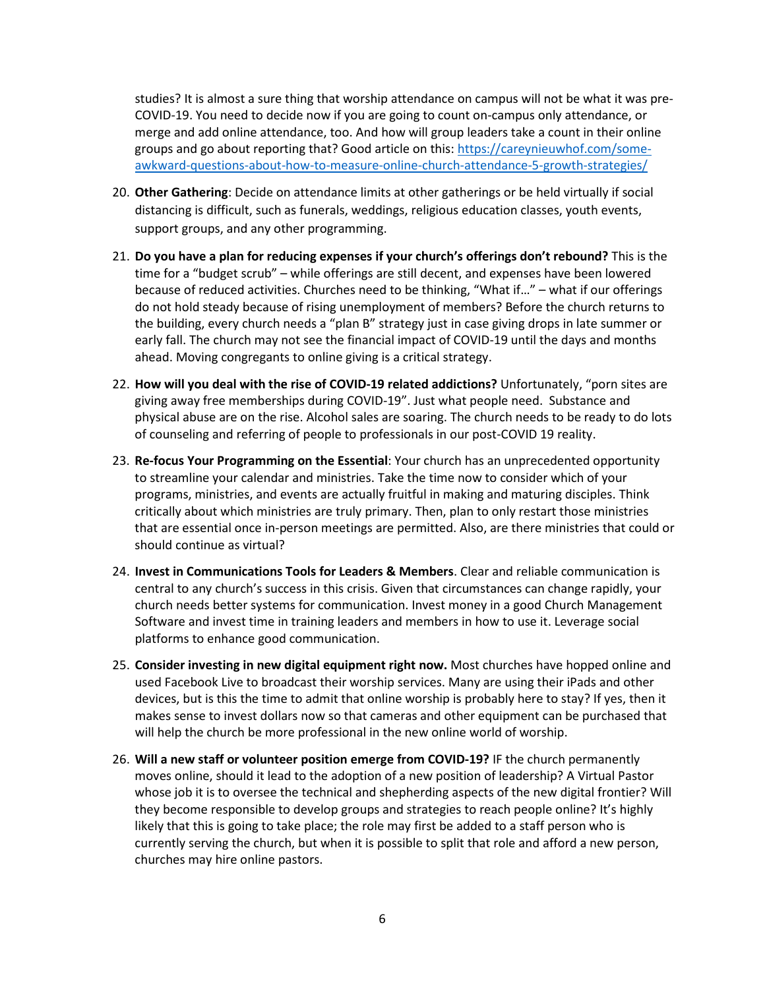studies? It is almost a sure thing that worship attendance on campus will not be what it was pre-COVID-19. You need to decide now if you are going to count on-campus only attendance, or merge and add online attendance, too. And how will group leaders take a count in their online groups and go about reporting that? Good article on this: [https://careynieuwhof.com/some](https://careynieuwhof.com/some-awkward-questions-about-how-to-measure-online-church-attendance-5-growth-strategies/)[awkward-questions-about-how-to-measure-online-church-attendance-5-growth-strategies/](https://careynieuwhof.com/some-awkward-questions-about-how-to-measure-online-church-attendance-5-growth-strategies/)

- 20. **Other Gathering**: Decide on attendance limits at other gatherings or be held virtually if social distancing is difficult, such as funerals, weddings, religious education classes, youth events, support groups, and any other programming.
- 21. **Do you have a plan for reducing expenses if your church's offerings don't rebound?** This is the time for a "budget scrub" – while offerings are still decent, and expenses have been lowered because of reduced activities. Churches need to be thinking, "What if…" – what if our offerings do not hold steady because of rising unemployment of members? Before the church returns to the building, every church needs a "plan B" strategy just in case giving drops in late summer or early fall. The church may not see the financial impact of COVID-19 until the days and months ahead. Moving congregants to online giving is a critical strategy.
- 22. **How will you deal with the rise of COVID-19 related addictions?** Unfortunately, "porn sites are giving away free memberships during COVID-19". Just what people need. Substance and physical abuse are on the rise. Alcohol sales are soaring. The church needs to be ready to do lots of counseling and referring of people to professionals in our post-COVID 19 reality.
- 23. **Re-focus Your Programming on the Essential**: Your church has an unprecedented opportunity to streamline your calendar and ministries. Take the time now to consider which of your programs, ministries, and events are actually fruitful in making and maturing disciples. Think critically about which ministries are truly primary. Then, plan to only restart those ministries that are essential once in-person meetings are permitted. Also, are there ministries that could or should continue as virtual?
- 24. **Invest in Communications Tools for Leaders & Members**. Clear and reliable communication is central to any church's success in this crisis. Given that circumstances can change rapidly, your church needs better systems for communication. Invest money in a good Church Management Software and invest time in training leaders and members in how to use it. Leverage social platforms to enhance good communication.
- 25. **Consider investing in new digital equipment right now.** Most churches have hopped online and used Facebook Live to broadcast their worship services. Many are using their iPads and other devices, but is this the time to admit that online worship is probably here to stay? If yes, then it makes sense to invest dollars now so that cameras and other equipment can be purchased that will help the church be more professional in the new online world of worship.
- 26. **Will a new staff or volunteer position emerge from COVID-19?** IF the church permanently moves online, should it lead to the adoption of a new position of leadership? A Virtual Pastor whose job it is to oversee the technical and shepherding aspects of the new digital frontier? Will they become responsible to develop groups and strategies to reach people online? It's highly likely that this is going to take place; the role may first be added to a staff person who is currently serving the church, but when it is possible to split that role and afford a new person, churches may hire online pastors.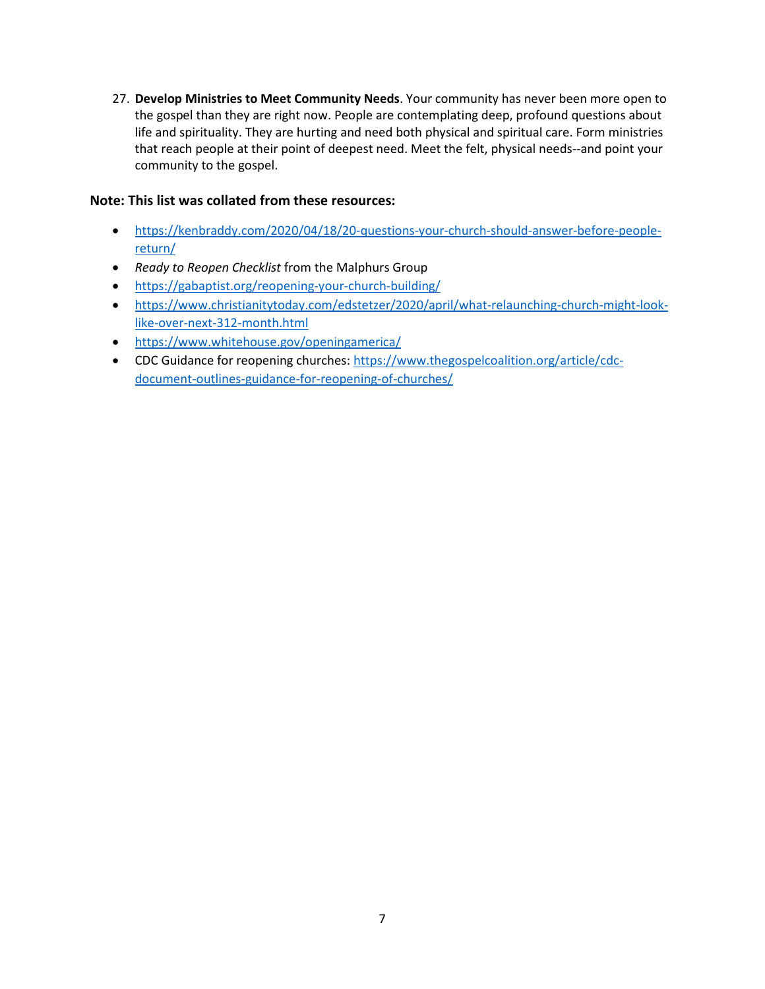27. **Develop Ministries to Meet Community Needs**. Your community has never been more open to the gospel than they are right now. People are contemplating deep, profound questions about life and spirituality. They are hurting and need both physical and spiritual care. Form ministries that reach people at their point of deepest need. Meet the felt, physical needs--and point your community to the gospel.

#### **Note: This list was collated from these resources:**

- [https://kenbraddy.com/2020/04/18/20-questions-your-church-should-answer-before-people](https://kenbraddy.com/2020/04/18/20-questions-your-church-should-answer-before-people-return/)[return/](https://kenbraddy.com/2020/04/18/20-questions-your-church-should-answer-before-people-return/)
- *Ready to Reopen Checklist* from the Malphurs Group
- <https://gabaptist.org/reopening-your-church-building/>
- [https://www.christianitytoday.com/edstetzer/2020/april/what-relaunching-church-might-look](https://www.christianitytoday.com/edstetzer/2020/april/what-relaunching-church-might-look-like-over-next-312-month.html)[like-over-next-312-month.html](https://www.christianitytoday.com/edstetzer/2020/april/what-relaunching-church-might-look-like-over-next-312-month.html)
- <https://www.whitehouse.gov/openingamerica/>
- CDC Guidance for reopening churches: [https://www.thegospelcoalition.org/article/cdc](https://www.thegospelcoalition.org/article/cdc-document-outlines-guidance-for-reopening-of-churches/)[document-outlines-guidance-for-reopening-of-churches/](https://www.thegospelcoalition.org/article/cdc-document-outlines-guidance-for-reopening-of-churches/)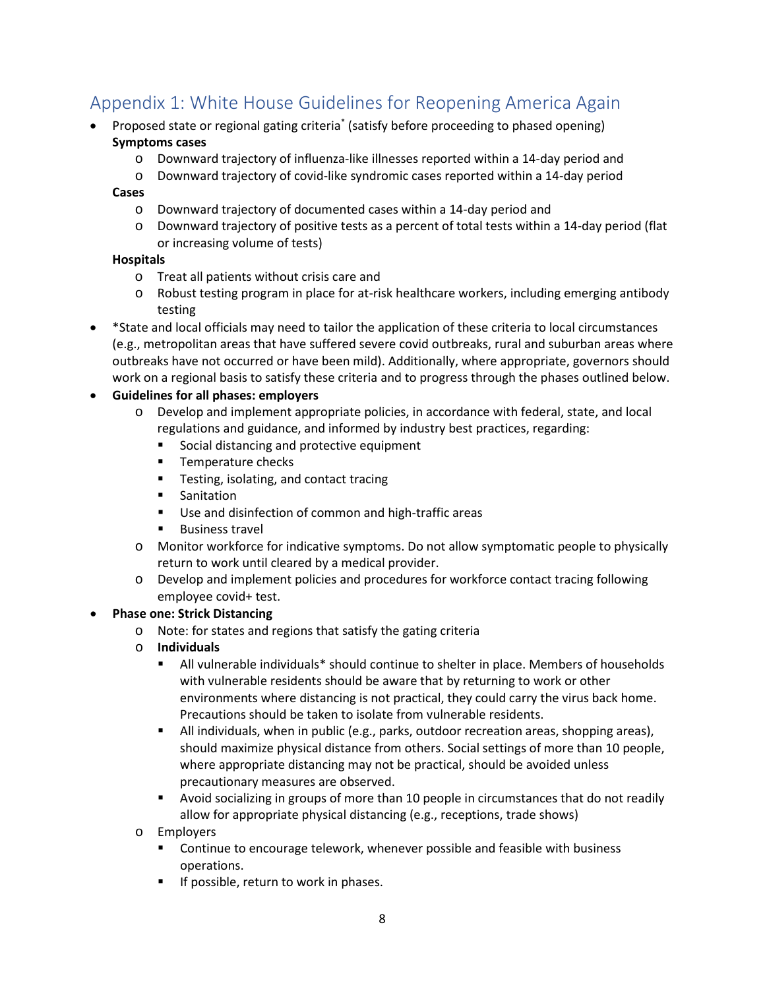# Appendix 1: White House Guidelines for Reopening America Again

- Proposed state or regional gating criteria\* (satisfy before proceeding to phased opening) **Symptoms cases**
	- o Downward trajectory of influenza-like illnesses reported within a 14-day period and
		- o Downward trajectory of covid-like syndromic cases reported within a 14-day period

#### **Cases**

- o Downward trajectory of documented cases within a 14-day period and
- o Downward trajectory of positive tests as a percent of total tests within a 14-day period (flat or increasing volume of tests)

#### **Hospitals**

- o Treat all patients without crisis care and
- o Robust testing program in place for at-risk healthcare workers, including emerging antibody testing
- \*State and local officials may need to tailor the application of these criteria to local circumstances (e.g., metropolitan areas that have suffered severe covid outbreaks, rural and suburban areas where outbreaks have not occurred or have been mild). Additionally, where appropriate, governors should work on a regional basis to satisfy these criteria and to progress through the phases outlined below.

#### • **Guidelines for all phases: employers**

- o Develop and implement appropriate policies, in accordance with federal, state, and local regulations and guidance, and informed by industry best practices, regarding:
	- Social distancing and protective equipment
	- **Temperature checks**
	- **Testing, isolating, and contact tracing**
	- **Sanitation**
	- **Use and disinfection of common and high-traffic areas**
	- **Business travel**
- o Monitor workforce for indicative symptoms. Do not allow symptomatic people to physically return to work until cleared by a medical provider.
- o Develop and implement policies and procedures for workforce contact tracing following employee covid+ test.

#### • **Phase one: Strick Distancing**

- o Note: for states and regions that satisfy the gating criteria
- o **Individuals**
	- All vulnerable individuals\* should continue to shelter in place. Members of households with vulnerable residents should be aware that by returning to work or other environments where distancing is not practical, they could carry the virus back home. Precautions should be taken to isolate from vulnerable residents.
	- All individuals, when in public (e.g., parks, outdoor recreation areas, shopping areas), should maximize physical distance from others. Social settings of more than 10 people, where appropriate distancing may not be practical, should be avoided unless precautionary measures are observed.
	- Avoid socializing in groups of more than 10 people in circumstances that do not readily allow for appropriate physical distancing (e.g., receptions, trade shows)
- o Employers
	- **EXECONTIFY Continue to encourage telework, whenever possible and feasible with business** operations.
	- If possible, return to work in phases.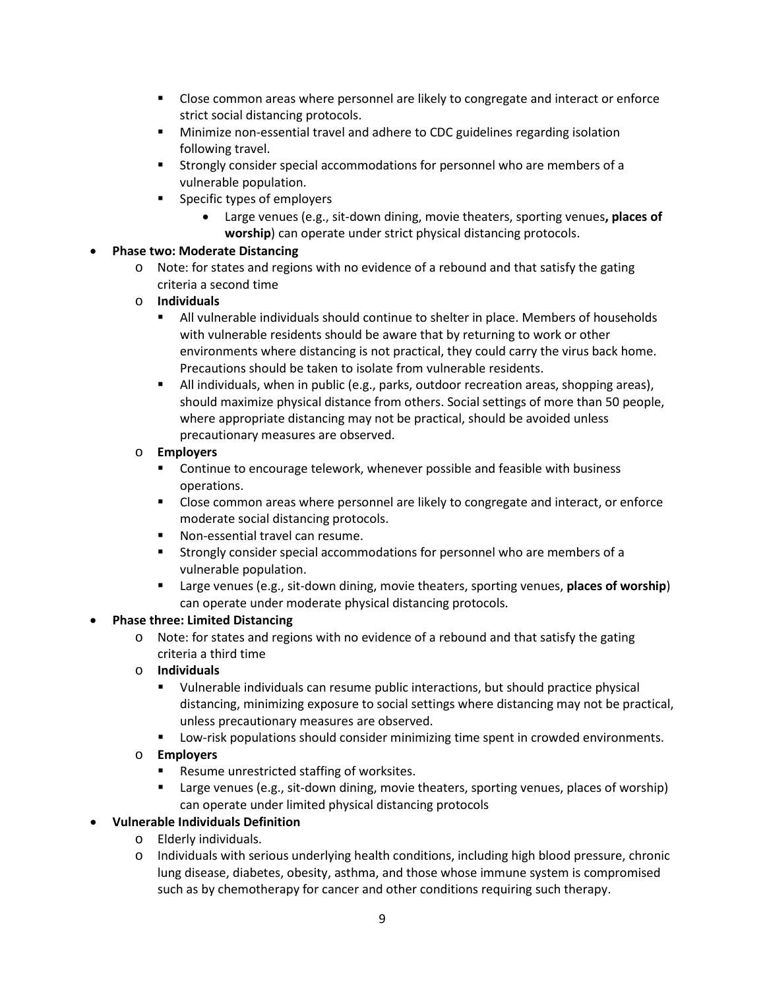- Close common areas where personnel are likely to congregate and interact or enforce strict social distancing protocols.
- Minimize non-essential travel and adhere to CDC guidelines regarding isolation following travel.
- Strongly consider special accommodations for personnel who are members of a vulnerable population.
- **Specific types of employers** 
	- Large venues (e.g., sit-down dining, movie theaters, sporting venues**, places of worship**) can operate under strict physical distancing protocols.

#### • **Phase two: Moderate Distancing**

- o Note: for states and regions with no evidence of a rebound and that satisfy the gating criteria a second time
- o **Individuals**
	- All vulnerable individuals should continue to shelter in place. Members of households with vulnerable residents should be aware that by returning to work or other environments where distancing is not practical, they could carry the virus back home. Precautions should be taken to isolate from vulnerable residents.
	- All individuals, when in public (e.g., parks, outdoor recreation areas, shopping areas), should maximize physical distance from others. Social settings of more than 50 people, where appropriate distancing may not be practical, should be avoided unless precautionary measures are observed.

#### o **Employers**

- Continue to encourage telework, whenever possible and feasible with business operations.
- Close common areas where personnel are likely to congregate and interact, or enforce moderate social distancing protocols.
- **Non-essential travel can resume.**
- Strongly consider special accommodations for personnel who are members of a vulnerable population.
- Large venues (e.g., sit-down dining, movie theaters, sporting venues, **places of worship**) can operate under moderate physical distancing protocols.

## • **Phase three: Limited Distancing**

- o Note: for states and regions with no evidence of a rebound and that satisfy the gating criteria a third time
- o **Individuals**
	- Vulnerable individuals can resume public interactions, but should practice physical distancing, minimizing exposure to social settings where distancing may not be practical, unless precautionary measures are observed.
	- Low-risk populations should consider minimizing time spent in crowded environments.
- o **Employers**
	- **Resume unrestricted staffing of worksites.**
	- **Example 2** Large venues (e.g., sit-down dining, movie theaters, sporting venues, places of worship) can operate under limited physical distancing protocols
- **Vulnerable Individuals Definition**
	- o Elderly individuals.
	- o Individuals with serious underlying health conditions, including high blood pressure, chronic lung disease, diabetes, obesity, asthma, and those whose immune system is compromised such as by chemotherapy for cancer and other conditions requiring such therapy.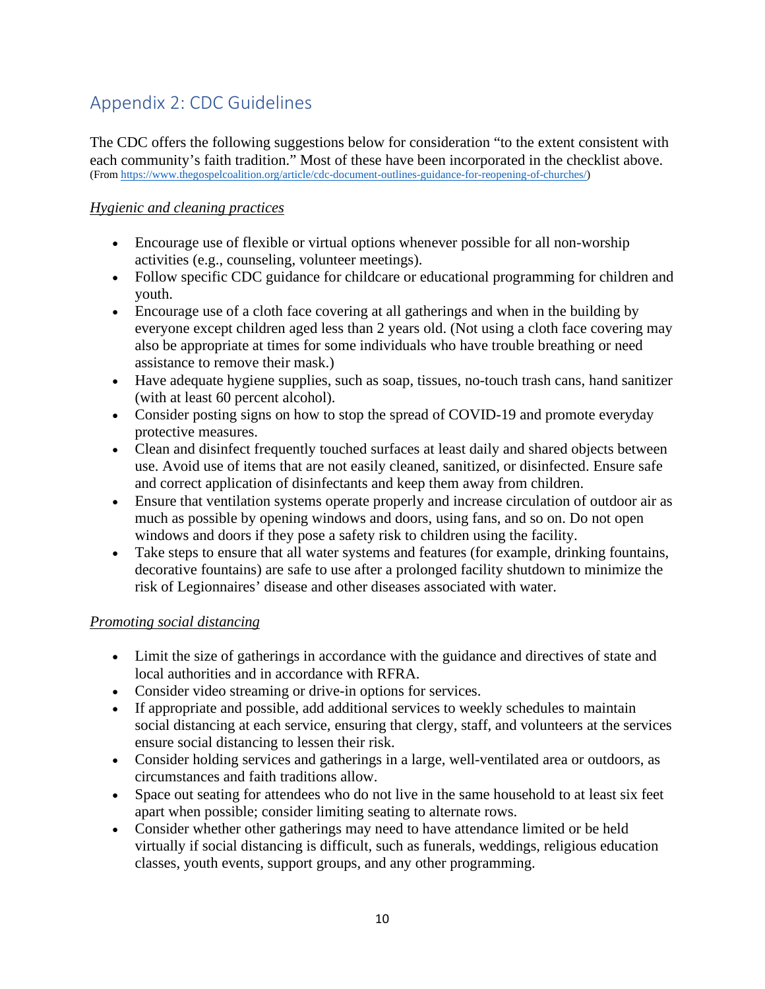# Appendix 2: CDC Guidelines

The CDC offers the following suggestions below for consideration "to the extent consistent with each community's faith tradition." Most of these have been incorporated in the checklist above. (Fro[m https://www.thegospelcoalition.org/article/cdc-document-outlines-guidance-for-reopening-of-churches/\)](https://www.thegospelcoalition.org/article/cdc-document-outlines-guidance-for-reopening-of-churches/T)

# *Hygienic and cleaning practices*

- Encourage use of flexible or virtual options whenever possible for all non-worship activities (e.g., counseling, volunteer meetings).
- Follow specific CDC guidance for childcare or educational programming for children and youth.
- Encourage use of a cloth face covering at all gatherings and when in the building by everyone except children aged less than 2 years old. (Not using a cloth face covering may also be appropriate at times for some individuals who have trouble breathing or need assistance to remove their mask.)
- Have adequate hygiene supplies, such as soap, tissues, no-touch trash cans, hand sanitizer (with at least 60 percent alcohol).
- Consider posting signs on how to stop the spread of COVID-19 and promote everyday protective measures.
- Clean and disinfect frequently touched surfaces at least daily and shared objects between use. Avoid use of items that are not easily cleaned, sanitized, or disinfected. Ensure safe and correct application of disinfectants and keep them away from children.
- Ensure that ventilation systems operate properly and increase circulation of outdoor air as much as possible by opening windows and doors, using fans, and so on. Do not open windows and doors if they pose a safety risk to children using the facility.
- Take steps to ensure that all water systems and features (for example, drinking fountains, decorative fountains) are safe to use after a prolonged facility shutdown to minimize the risk of Legionnaires' disease and other diseases associated with water.

## *Promoting social distancing*

- Limit the size of gatherings in accordance with the guidance and directives of state and local authorities and in accordance with RFRA.
- Consider video streaming or drive-in options for services.
- If appropriate and possible, add additional services to weekly schedules to maintain social distancing at each service, ensuring that clergy, staff, and volunteers at the services ensure social distancing to lessen their risk.
- Consider holding services and gatherings in a large, well-ventilated area or outdoors, as circumstances and faith traditions allow.
- Space out seating for attendees who do not live in the same household to at least six feet apart when possible; consider limiting seating to alternate rows.
- Consider whether other gatherings may need to have attendance limited or be held virtually if social distancing is difficult, such as funerals, weddings, religious education classes, youth events, support groups, and any other programming.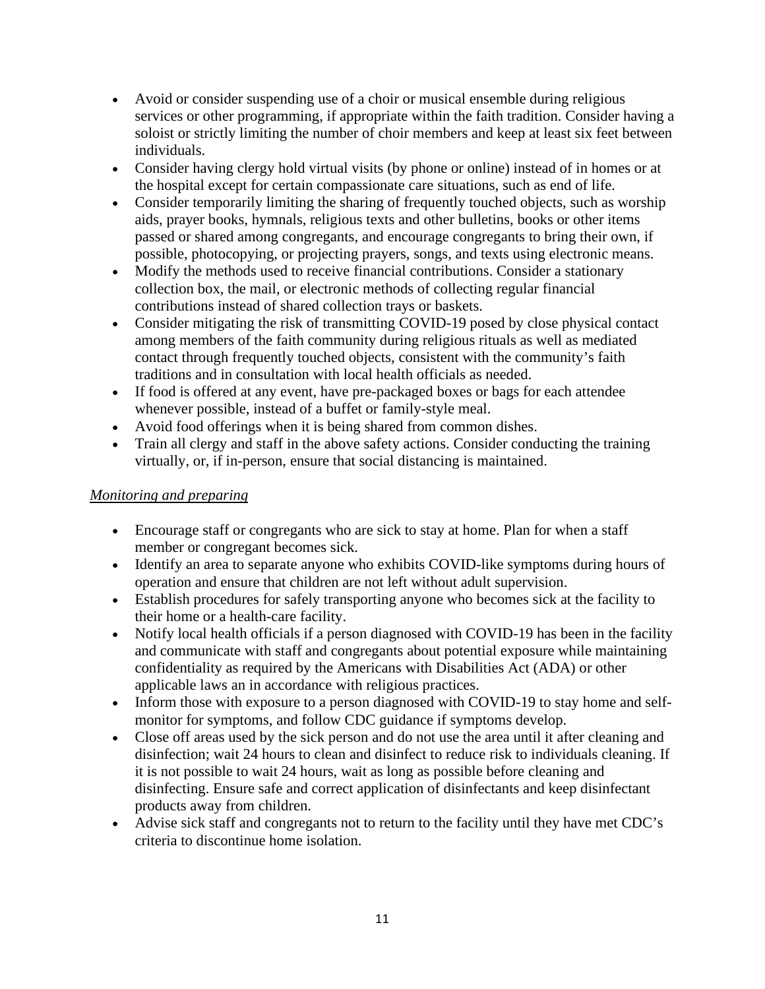- Avoid or consider suspending use of a choir or musical ensemble during religious services or other programming, if appropriate within the faith tradition. Consider having a soloist or strictly limiting the number of choir members and keep at least six feet between individuals.
- Consider having clergy hold virtual visits (by phone or online) instead of in homes or at the hospital except for certain compassionate care situations, such as end of life.
- Consider temporarily limiting the sharing of frequently touched objects, such as worship aids, prayer books, hymnals, religious texts and other bulletins, books or other items passed or shared among congregants, and encourage congregants to bring their own, if possible, photocopying, or projecting prayers, songs, and texts using electronic means.
- Modify the methods used to receive financial contributions. Consider a stationary collection box, the mail, or electronic methods of collecting regular financial contributions instead of shared collection trays or baskets.
- Consider mitigating the risk of transmitting COVID-19 posed by close physical contact among members of the faith community during religious rituals as well as mediated contact through frequently touched objects, consistent with the community's faith traditions and in consultation with local health officials as needed.
- If food is offered at any event, have pre-packaged boxes or bags for each attendee whenever possible, instead of a buffet or family-style meal.
- Avoid food offerings when it is being shared from common dishes.
- Train all clergy and staff in the above safety actions. Consider conducting the training virtually, or, if in-person, ensure that social distancing is maintained.

## *Monitoring and preparing*

- Encourage staff or congregants who are sick to stay at home. Plan for when a staff member or congregant becomes sick.
- Identify an area to separate anyone who exhibits COVID-like symptoms during hours of operation and ensure that children are not left without adult supervision.
- Establish procedures for safely transporting anyone who becomes sick at the facility to their home or a health-care facility.
- Notify local health officials if a person diagnosed with COVID-19 has been in the facility and communicate with staff and congregants about potential exposure while maintaining confidentiality as required by the Americans with Disabilities Act (ADA) or other applicable laws an in accordance with religious practices.
- Inform those with exposure to a person diagnosed with COVID-19 to stay home and selfmonitor for symptoms, and follow CDC guidance if symptoms develop.
- Close off areas used by the sick person and do not use the area until it after cleaning and disinfection; wait 24 hours to clean and disinfect to reduce risk to individuals cleaning. If it is not possible to wait 24 hours, wait as long as possible before cleaning and disinfecting. Ensure safe and correct application of disinfectants and keep disinfectant products away from children.
- Advise sick staff and congregants not to return to the facility until they have met CDC's criteria to discontinue home isolation.